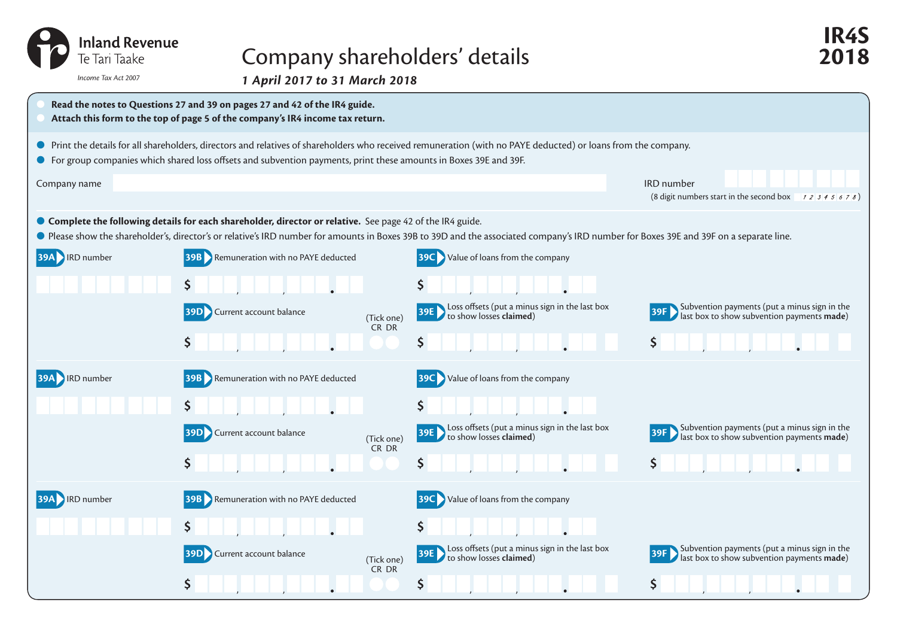| <b>Inland Revenue</b><br>Te Tari Taake                                                                                                                                                                                            |
|-----------------------------------------------------------------------------------------------------------------------------------------------------------------------------------------------------------------------------------|
| Income Tax Act 2007                                                                                                                                                                                                               |
| $\mathbf{a}$ . The contract of the contract of the contract of the contract of the contract of the contract of the contract of the contract of the contract of the contract of the contract of the contract of the contract of th |

## Company shareholders' details **2018**

*1 April 2017 to 31 March 2018* 



**IR4S**